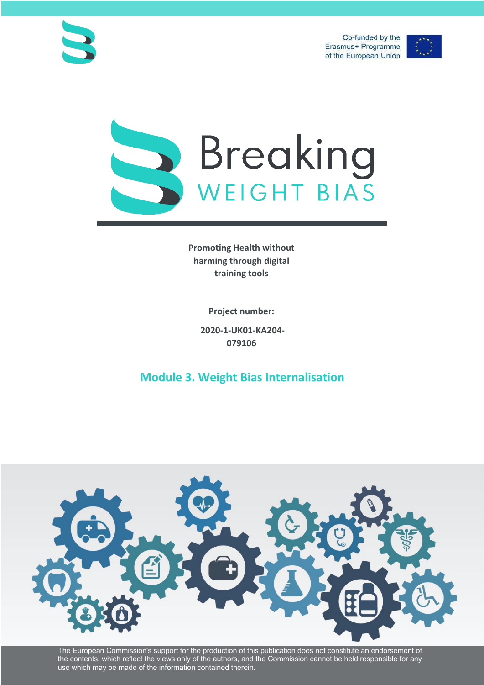Co-funded by the Erasmus+ Programme of the European Union







**Promoting Health without harming through digital training tools**

**Project number:**

**2020-1-UK01-KA204- 079106**

**Module 3. Weight Bias Internalisation**



The European Commission's support for the production of this publication does not constitute an endorsement of the contents, which reflect the views only of the authors, and the Commission cannot be held responsible for any use which may be made of the information contained therein.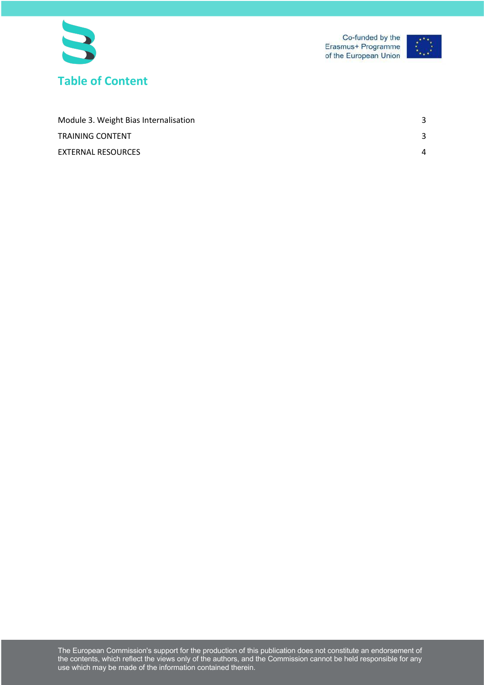



| Module 3. Weight Bias Internalisation |   |
|---------------------------------------|---|
| TRAINING CONTENT                      | ີ |
| EXTERNAL RESOURCES                    | Δ |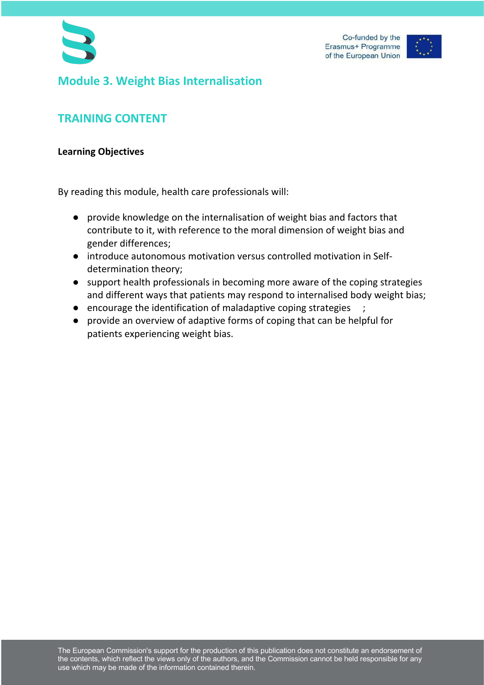

## **Module 3. Weight Bias Internalisation**

## **TRAINING CONTENT**

## **Learning Objectives**

By reading this module, health care professionals will:

- provide knowledge on the internalisation of weight bias and factors that contribute to it, with reference to the moral dimension of weight bias and gender differences;
- introduce autonomous motivation versus controlled motivation in Selfdetermination theory;
- support health professionals in becoming more aware of the coping strategies and different ways that patients may respond to internalised body weight bias;
- encourage the identification of maladaptive coping strategies ;
- provide an overview of adaptive forms of coping that can be helpful for patients experiencing weight bias.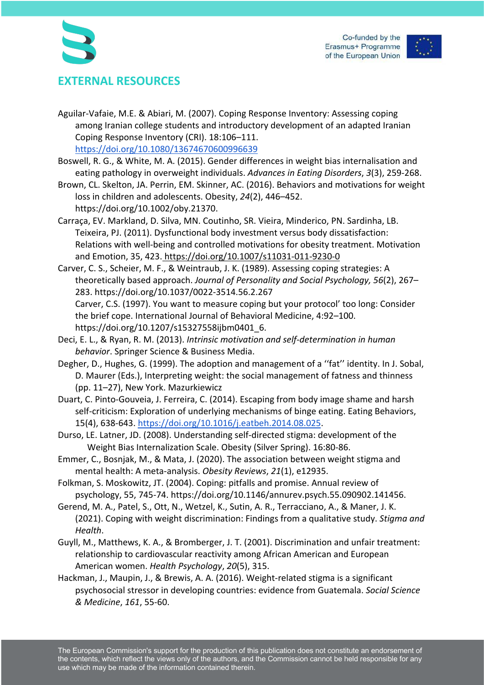



## **EXTERNAL RESOURCES**

Aguilar-Vafaie, M.E. & Abiari, M. (2007). Coping Response Inventory: Assessing coping among Iranian college students and introductory development of an adapted Iranian Coping Response Inventory (CRI). 18:106–111. https://doi.org/10.1080/13674670600996639

Boswell, R. G., & White, M. A. (2015). Gender differences in weight bias internalisation and eating pathology in overweight individuals. *Advances in Eating Disorders*, *3*(3), 259-268.

- Brown, CL. Skelton, JA. Perrin, EM. Skinner, AC. (2016). Behaviors and motivations for weight loss in children and adolescents. Obesity, *24*(2), 446–452. https://doi.org/10.1002/oby.21370.
- Carraça, EV. Markland, D. Silva, MN. Coutinho, SR. Vieira, Minderico, PN. Sardinha, LB. Teixeira, PJ. (2011). Dysfunctional body investment versus body dissatisfaction: Relations with well-being and controlled motivations for obesity treatment. Motivation and Emotion, 35, 423. https://doi.org/10.1007/s11031-011-9230-0
- Carver, C. S., Scheier, M. F., & Weintraub, J. K. (1989). Assessing coping strategies: A theoretically based approach. *Journal of Personality and Social Psychology, 56*(2), 267– 283. https://doi.org/10.1037/0022-3514.56.2.267 Carver, C.S. (1997). You want to measure coping but your protocol' too long: Consider the brief cope. International Journal of Behavioral Medicine, 4:92–100. https://doi.org/10.1207/s15327558ijbm0401\_6.
- Deci, E. L., & Ryan, R. M. (2013). *Intrinsic motivation and self-determination in human behavior*. Springer Science & Business Media.
- Degher, D., Hughes, G. (1999). The adoption and management of a ''fat'' identity. In J. Sobal, D. Maurer (Eds.), Interpreting weight: the social management of fatness and thinness (pp. 11–27), New York. Mazurkiewicz
- Duart, C. Pinto-Gouveia, J. Ferreira, C. (2014). Escaping from body image shame and harsh self-criticism: Exploration of underlying mechanisms of binge eating. Eating Behaviors, 15(4), 638-643. https://doi.org/10.1016/j.eatbeh.2014.08.025.
- Durso, LE. Latner, JD. (2008). Understanding self-directed stigma: development of the Weight Bias Internalization Scale. Obesity (Silver Spring). 16:80-86.
- Emmer, C., Bosnjak, M., & Mata, J. (2020). The association between weight stigma and mental health: A meta-analysis. *Obesity Reviews*, *21*(1), e12935.
- Folkman, S. Moskowitz, JT. (2004). Coping: pitfalls and promise. Annual review of psychology, 55, 745-74. https://doi.org/10.1146/annurev.psych.55.090902.141456.
- Gerend, M. A., Patel, S., Ott, N., Wetzel, K., Sutin, A. R., Terracciano, A., & Maner, J. K. (2021). Coping with weight discrimination: Findings from a qualitative study. *Stigma and Health*.
- Guyll, M., Matthews, K. A., & Bromberger, J. T. (2001). Discrimination and unfair treatment: relationship to cardiovascular reactivity among African American and European American women. *Health Psychology*, *20*(5), 315.
- Hackman, J., Maupin, J., & Brewis, A. A. (2016). Weight-related stigma is a significant psychosocial stressor in developing countries: evidence from Guatemala. *Social Science & Medicine*, *161*, 55-60.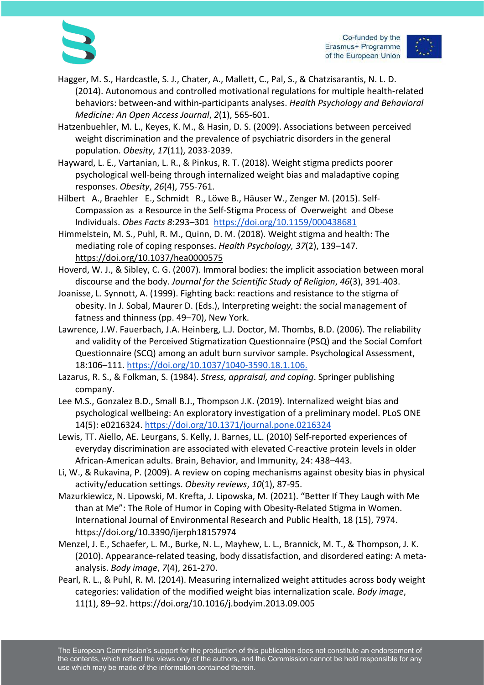

Co-funded by the Erasmus+ Programme of the European Union

- Hagger, M. S., Hardcastle, S. J., Chater, A., Mallett, C., Pal, S., & Chatzisarantis, N. L. D. (2014). Autonomous and controlled motivational regulations for multiple health-related behaviors: between-and within-participants analyses. *Health Psychology and Behavioral Medicine: An Open Access Journal*, *2*(1), 565-601.
- Hatzenbuehler, M. L., Keyes, K. M., & Hasin, D. S. (2009). Associations between perceived weight discrimination and the prevalence of psychiatric disorders in the general population. *Obesity*, *17*(11), 2033-2039.
- Hayward, L. E., Vartanian, L. R., & Pinkus, R. T. (2018). Weight stigma predicts poorer psychological well-being through internalized weight bias and maladaptive coping responses. *Obesity*, *26*(4), 755-761.
- Hilbert A., Braehler E., Schmidt R., Löwe B., Häuser W., Zenger M. (2015). Self-Compassion as a Resource in the Self-Stigma Process of Overweight and Obese Individuals. *Obes Facts 8*:293–301 https://doi.org/10.1159/000438681
- Himmelstein, M. S., Puhl, R. M., Quinn, D. M. (2018). Weight stigma and health: The mediating role of coping responses. *Health Psychology, 37*(2), 139–147. https://doi.org/10.1037/hea0000575
- Hoverd, W. J., & Sibley, C. G. (2007). Immoral bodies: the implicit association between moral discourse and the body. *Journal for the Scientific Study of Religion*, *46*(3), 391-403.
- Joanisse, L. Synnott, A. (1999). Fighting back: reactions and resistance to the stigma of obesity. In J. Sobal, Maurer D. (Eds.), Interpreting weight: the social management of fatness and thinness (pp. 49–70), New York.
- Lawrence, J.W. Fauerbach, J.A. Heinberg, L.J. Doctor, M. Thombs, B.D. (2006). The reliability and validity of the Perceived Stigmatization Questionnaire (PSQ) and the Social Comfort Questionnaire (SCQ) among an adult burn survivor sample. Psychological Assessment, 18:106–111. https://doi.org/10.1037/1040-3590.18.1.106.
- Lazarus, R. S., & Folkman, S. (1984). *Stress, appraisal, and coping*. Springer publishing company.
- Lee M.S., Gonzalez B.D., Small B.J., Thompson J.K. (2019). Internalized weight bias and psychological wellbeing: An exploratory investigation of a preliminary model. PLoS ONE 14(5): e0216324. https://doi.org/10.1371/journal.pone.0216324
- Lewis, TT. Aiello, AE. Leurgans, S. Kelly, J. Barnes, LL. (2010) Self-reported experiences of everyday discrimination are associated with elevated C-reactive protein levels in older African-American adults. Brain, Behavior, and Immunity, 24: 438–443.
- Li, W., & Rukavina, P. (2009). A review on coping mechanisms against obesity bias in physical activity/education settings. *Obesity reviews*, *10*(1), 87-95.
- Mazurkiewicz, N. Lipowski, M. Krefta, J. Lipowska, M. (2021). "Better If They Laugh with Me than at Me": The Role of Humor in Coping with Obesity-Related Stigma in Women. International Journal of Environmental Research and Public Health, 18 (15), 7974. https://doi.org/10.3390/ijerph18157974
- Menzel, J. E., Schaefer, L. M., Burke, N. L., Mayhew, L. L., Brannick, M. T., & Thompson, J. K. (2010). Appearance-related teasing, body dissatisfaction, and disordered eating: A metaanalysis. *Body image*, *7*(4), 261-270.
- Pearl, R. L., & Puhl, R. M. (2014). Measuring internalized weight attitudes across body weight categories: validation of the modified weight bias internalization scale. *Body image*, 11(1), 89–92. https://doi.org/10.1016/j.bodyim.2013.09.005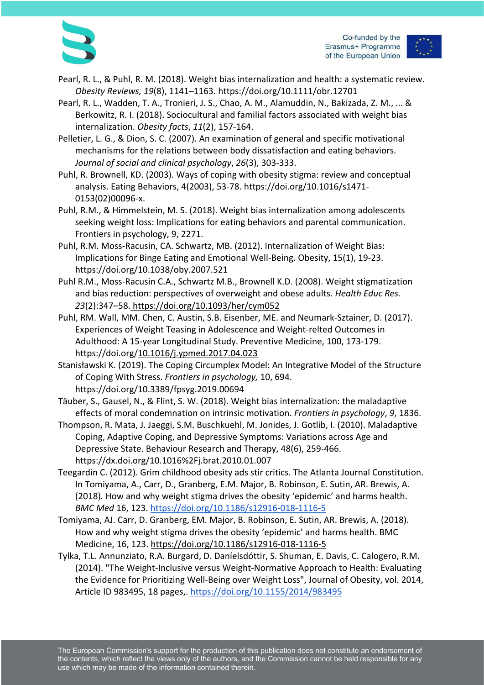

Co-funded by the Erasmus+ Programme of the European Union

- Pearl, R. L., & Puhl, R. M. (2018). Weight bias internalization and health: a systematic review. *Obesity Reviews, 19*(8), 1141–1163. https://doi.org/10.1111/obr.12701
- Pearl, R. L., Wadden, T. A., Tronieri, J. S., Chao, A. M., Alamuddin, N., Bakizada, Z. M., ... & Berkowitz, R. I. (2018). Sociocultural and familial factors associated with weight bias internalization. *Obesity facts*, *11*(2), 157-164.
- Pelletier, L. G., & Dion, S. C. (2007). An examination of general and specific motivational mechanisms for the relations between body dissatisfaction and eating behaviors. *Journal of social and clinical psychology*, *26*(3), 303-333.
- Puhl, R. Brownell, KD. (2003). Ways of coping with obesity stigma: review and conceptual analysis. Eating Behaviors, 4(2003), 53-78. https://doi.org/10.1016/s1471- 0153(02)00096-x.
- Puhl, R.M., & Himmelstein, M. S. (2018). Weight bias internalization among adolescents seeking weight loss: Implications for eating behaviors and parental communication. Frontiers in psychology, 9, 2271.
- Puhl, R.M. Moss-Racusin, CA. Schwartz, MB. (2012). Internalization of Weight Bias: Implications for Binge Eating and Emotional Well-Being. Obesity, 15(1), 19-23. https://doi.org/10.1038/oby.2007.521
- Puhl R.M., Moss-Racusin C.A., Schwartz M.B., Brownell K.D. (2008). Weight stigmatization and bias reduction: perspectives of overweight and obese adults. *Health Educ Res. 23*(2):347–58. https://doi.org/10.1093/her/cym052
- Puhl, RM. Wall, MM. Chen, C. Austin, S.B. Eisenber, ME. and Neumark-Sztainer, D. (2017). Experiences of Weight Teasing in Adolescence and Weight-relted Outcomes in Adulthood: A 15-year Longitudinal Study. Preventive Medicine, 100, 173-179. https://doi.org/10.1016/j.ypmed.2017.04.023
- Stanisławski K. (2019). The Coping Circumplex Model: An Integrative Model of the Structure of Coping With Stress. *Frontiers in psychology,* 10, 694. https://doi.org/10.3389/fpsyg.2019.00694
- Täuber, S., Gausel, N., & Flint, S. W. (2018). Weight bias internalization: the maladaptive effects of moral condemnation on intrinsic motivation. *Frontiers in psychology*, *9*, 1836.
- Thompson, R. Mata, J. Jaeggi, S.M. Buschkuehl, M. Jonides, J. Gotlib, I. (2010). Maladaptive Coping, Adaptive Coping, and Depressive Symptoms: Variations across Age and Depressive State. Behaviour Research and Therapy, 48(6), 259-466. https://dx.doi.org/10.1016%2Fj.brat.2010.01.007
- Teegardin C. (2012). Grim childhood obesity ads stir critics. The Atlanta Journal Constitution. In Tomiyama, A., Carr, D., Granberg, E.M. Major, B. Robinson, E. Sutin, AR. Brewis, A. (2018)*.* How and why weight stigma drives the obesity 'epidemic' and harms health. *BMC Med* 16, 123. https://doi.org/10.1186/s12916-018-1116-5
- Tomiyama, AJ. Carr, D. Granberg, EM. Major, B. Robinson, E. Sutin, AR. Brewis, A. (2018). How and why weight stigma drives the obesity 'epidemic' and harms health. BMC Medicine, 16, 123. https://doi.org/10.1186/s12916-018-1116-5
- Tylka, T.L. Annunziato, R.A. Burgard, D. Daníelsdóttir, S. Shuman, E. Davis, C. Calogero, R.M. (2014). "The Weight-Inclusive versus Weight-Normative Approach to Health: Evaluating the Evidence for Prioritizing Well-Being over Weight Loss", Journal of Obesity, vol. 2014, Article ID 983495, 18 pages,. https://doi.org/10.1155/2014/983495